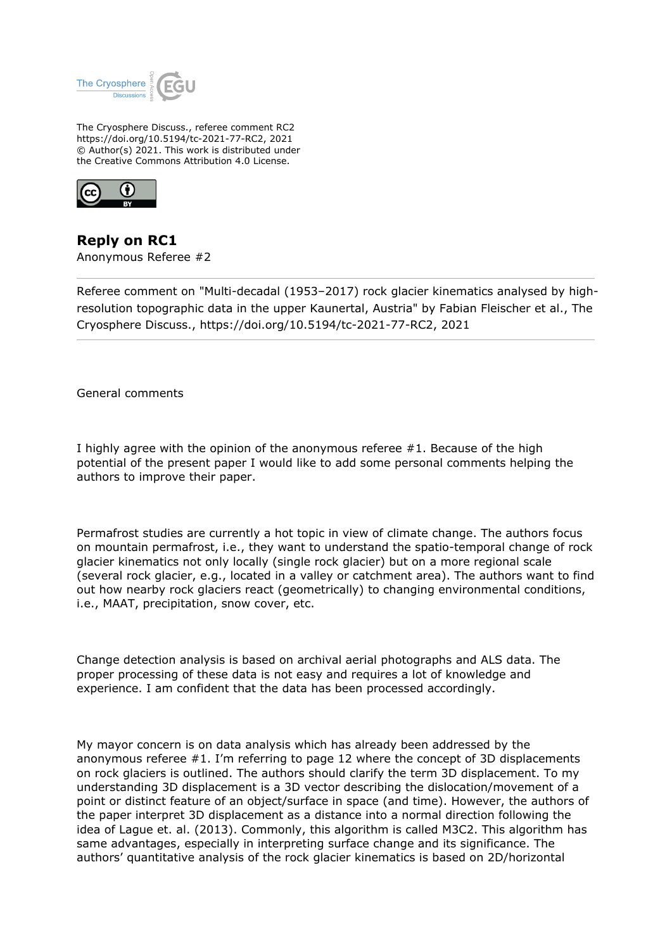

The Cryosphere Discuss., referee comment RC2 https://doi.org/10.5194/tc-2021-77-RC2, 2021 © Author(s) 2021. This work is distributed under the Creative Commons Attribution 4.0 License.



**Reply on RC1** Anonymous Referee #2

Referee comment on "Multi-decadal (1953–2017) rock glacier kinematics analysed by highresolution topographic data in the upper Kaunertal, Austria" by Fabian Fleischer et al., The Cryosphere Discuss., https://doi.org/10.5194/tc-2021-77-RC2, 2021

General comments

I highly agree with the opinion of the anonymous referee #1. Because of the high potential of the present paper I would like to add some personal comments helping the authors to improve their paper.

Permafrost studies are currently a hot topic in view of climate change. The authors focus on mountain permafrost, i.e., they want to understand the spatio-temporal change of rock glacier kinematics not only locally (single rock glacier) but on a more regional scale (several rock glacier, e.g., located in a valley or catchment area). The authors want to find out how nearby rock glaciers react (geometrically) to changing environmental conditions, i.e., MAAT, precipitation, snow cover, etc.

Change detection analysis is based on archival aerial photographs and ALS data. The proper processing of these data is not easy and requires a lot of knowledge and experience. I am confident that the data has been processed accordingly.

My mayor concern is on data analysis which has already been addressed by the anonymous referee #1. I'm referring to page 12 where the concept of 3D displacements on rock glaciers is outlined. The authors should clarify the term 3D displacement. To my understanding 3D displacement is a 3D vector describing the dislocation/movement of a point or distinct feature of an object/surface in space (and time). However, the authors of the paper interpret 3D displacement as a distance into a normal direction following the idea of Lague et. al. (2013). Commonly, this algorithm is called M3C2. This algorithm has same advantages, especially in interpreting surface change and its significance. The authors' quantitative analysis of the rock glacier kinematics is based on 2D/horizontal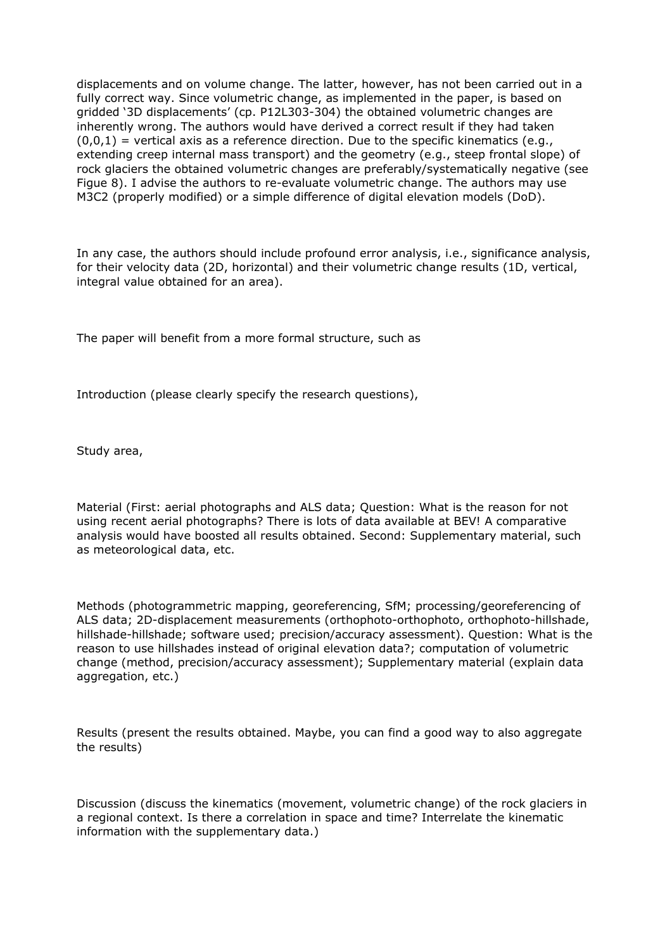displacements and on volume change. The latter, however, has not been carried out in a fully correct way. Since volumetric change, as implemented in the paper, is based on gridded '3D displacements' (cp. P12L303-304) the obtained volumetric changes are inherently wrong. The authors would have derived a correct result if they had taken  $(0,0,1)$  = vertical axis as a reference direction. Due to the specific kinematics (e.g., extending creep internal mass transport) and the geometry (e.g., steep frontal slope) of rock glaciers the obtained volumetric changes are preferably/systematically negative (see Figue 8). I advise the authors to re-evaluate volumetric change. The authors may use M3C2 (properly modified) or a simple difference of digital elevation models (DoD).

In any case, the authors should include profound error analysis, i.e., significance analysis, for their velocity data (2D, horizontal) and their volumetric change results (1D, vertical, integral value obtained for an area).

The paper will benefit from a more formal structure, such as

Introduction (please clearly specify the research questions),

Study area,

Material (First: aerial photographs and ALS data; Question: What is the reason for not using recent aerial photographs? There is lots of data available at BEV! A comparative analysis would have boosted all results obtained. Second: Supplementary material, such as meteorological data, etc.

Methods (photogrammetric mapping, georeferencing, SfM; processing/georeferencing of ALS data; 2D-displacement measurements (orthophoto-orthophoto, orthophoto-hillshade, hillshade-hillshade; software used; precision/accuracy assessment). Question: What is the reason to use hillshades instead of original elevation data?; computation of volumetric change (method, precision/accuracy assessment); Supplementary material (explain data aggregation, etc.)

Results (present the results obtained. Maybe, you can find a good way to also aggregate the results)

Discussion (discuss the kinematics (movement, volumetric change) of the rock glaciers in a regional context. Is there a correlation in space and time? Interrelate the kinematic information with the supplementary data.)